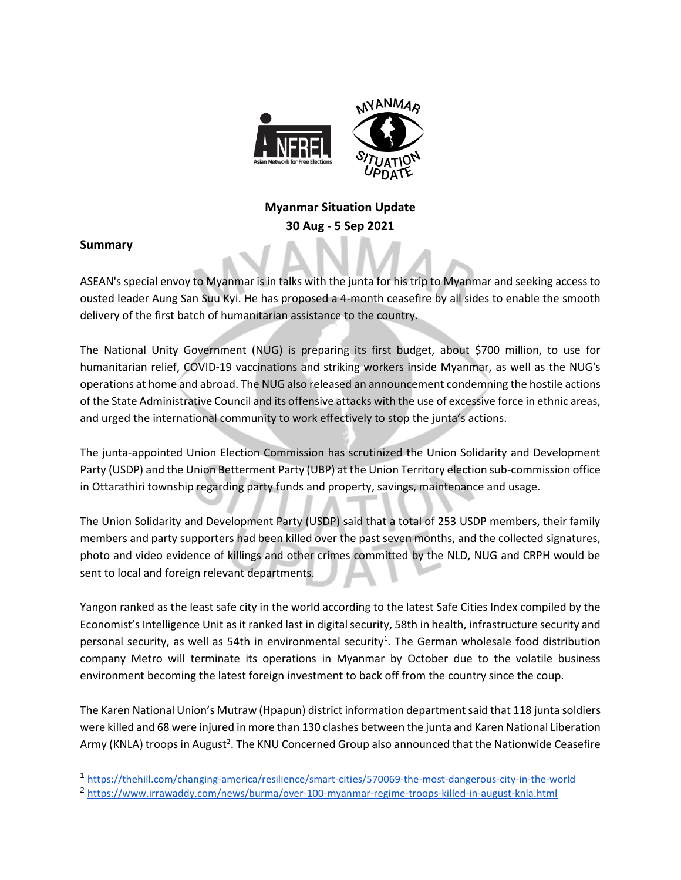

# **Myanmar Situation Update 30 Aug - 5 Sep 2021**

### **Summary**

ASEAN's special envoy to Myanmar is in talks with the junta for his trip to Myanmar and seeking access to ousted leader Aung San Suu Kyi. He has proposed a 4-month ceasefire by all sides to enable the smooth delivery of the first batch of humanitarian assistance to the country.

The National Unity Government (NUG) is preparing its first budget, about \$700 million, to use for humanitarian relief, COVID-19 vaccinations and striking workers inside Myanmar, as well as the NUG's operations at home and abroad. The NUG also released an announcement condemning the hostile actions of the State Administrative Council and its offensive attacks with the use of excessive force in ethnic areas, and urged the international community to work effectively to stop the junta's actions.

The junta-appointed Union Election Commission has scrutinized the Union Solidarity and Development Party (USDP) and the Union Betterment Party (UBP) at the Union Territory election sub-commission office in Ottarathiri township regarding party funds and property, savings, maintenance and usage.

The Union Solidarity and Development Party (USDP) said that a total of 253 USDP members, their family members and party supporters had been killed over the past seven months, and the collected signatures, photo and video evidence of killings and other crimes committed by the NLD, NUG and CRPH would be sent to local and foreign relevant departments.

Yangon ranked as the least safe city in the world according to the latest Safe Cities Index compiled by the Economist's Intelligence Unit as it ranked last in digital security, 58th in health, infrastructure security and personal security, as well as 54th in environmental security<sup>1</sup>. The German wholesale food distribution company Metro will terminate its operations in Myanmar by October due to the volatile business environment becoming the latest foreign investment to back off from the country since the coup.

The Karen National Union's Mutraw (Hpapun) district information department said that 118 junta soldiers were killed and 68 were injured in more than 130 clashes between the junta and Karen National Liberation Army (KNLA) troops in August<sup>2</sup>. The KNU Concerned Group also announced that the Nationwide Ceasefire

<sup>1</sup> <https://thehill.com/changing-america/resilience/smart-cities/570069-the-most-dangerous-city-in-the-world>

<sup>2</sup> <https://www.irrawaddy.com/news/burma/over-100-myanmar-regime-troops-killed-in-august-knla.html>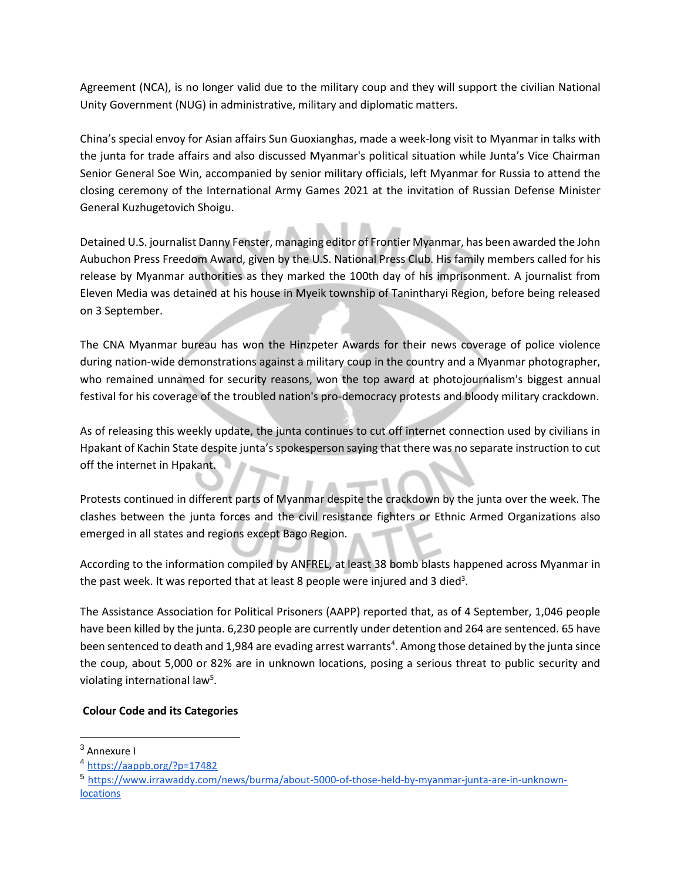Agreement (NCA), is no longer valid due to the military coup and they will support the civilian National Unity Government (NUG) in administrative, military and diplomatic matters.

China's special envoy for Asian affairs Sun Guoxianghas, made a week-long visit to Myanmar in talks with the junta for trade affairs and also discussed Myanmar's political situation while Junta's Vice Chairman Senior General Soe Win, accompanied by senior military officials, left Myanmar for Russia to attend the closing ceremony of the International Army Games 2021 at the invitation of Russian Defense Minister General Kuzhugetovich Shoigu.

Detained U.S. journalist Danny Fenster, managing editor of Frontier Myanmar, has been awarded the John Aubuchon Press Freedom Award, given by the U.S. National Press Club. His family members called for his release by Myanmar authorities as they marked the 100th day of his imprisonment. A journalist from Eleven Media was detained at his house in Myeik township of Tanintharyi Region, before being released on 3 September.

The CNA Myanmar bureau has won the Hinzpeter Awards for their news coverage of police violence during nation-wide demonstrations against a military coup in the country and a Myanmar photographer, who remained unnamed for security reasons, won the top award at photojournalism's biggest annual festival for his coverage of the troubled nation's pro-democracy protests and bloody military crackdown.

As of releasing this weekly update, the junta continues to cut off internet connection used by civilians in Hpakant of Kachin State despite junta's spokesperson saying that there was no separate instruction to cut off the internet in Hpakant.

Protests continued in different parts of Myanmar despite the crackdown by the junta over the week. The clashes between the junta forces and the civil resistance fighters or Ethnic Armed Organizations also emerged in all states and regions except Bago Region.

According to the information compiled by ANFREL, at least 38 bomb blasts happened across Myanmar in the past week. It was reported that at least 8 people were injured and 3 died<sup>3</sup>.

The Assistance Association for Political Prisoners (AAPP) reported that, as of 4 September, 1,046 people have been killed by the junta. 6,230 people are currently under detention and 264 are sentenced. 65 have been sentenced to death and 1,984 are evading arrest warrants<sup>4</sup>. Among those detained by the junta since the coup, about 5,000 or 82% are in unknown locations, posing a serious threat to public security and violating international law<sup>5</sup>.

#### **Colour Code and its Categories**

<sup>3</sup> Annexure I

<sup>4</sup> <https://aappb.org/?p=17482>

<sup>5</sup> [https://www.irrawaddy.com/news/burma/about-5000-of-those-held-by-myanmar-junta-are-in-unknown](https://www.irrawaddy.com/news/burma/about-5000-of-those-held-by-myanmar-junta-are-in-unknown-locations-advocacy-group.html)[locations](https://www.irrawaddy.com/news/burma/about-5000-of-those-held-by-myanmar-junta-are-in-unknown-locations-advocacy-group.html)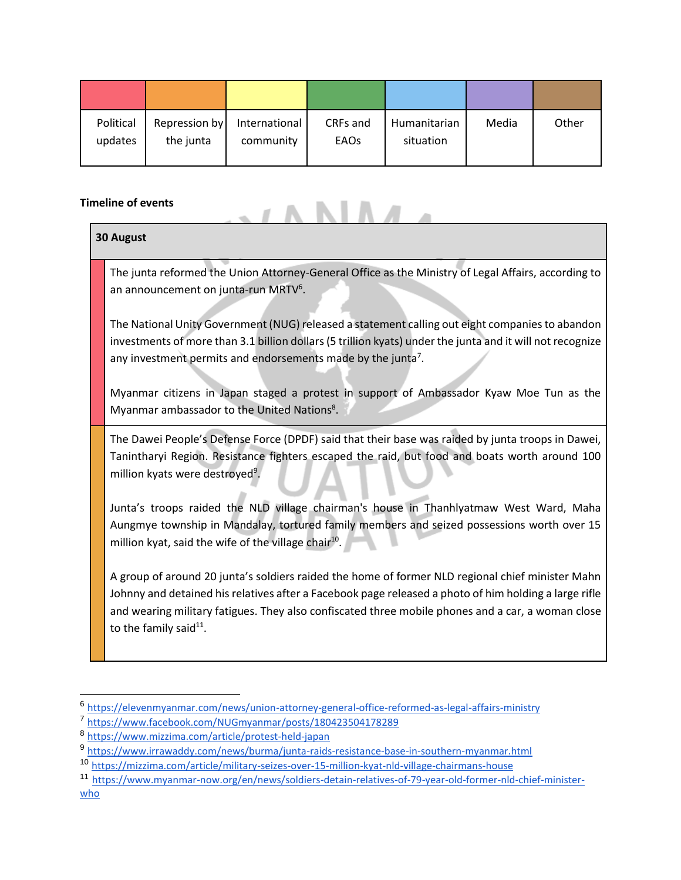| Political | Repression by | International | CRFs and    | Humanitarian | Media | Other |
|-----------|---------------|---------------|-------------|--------------|-------|-------|
| updates   | the junta     | community     | <b>EAOs</b> | situation    |       |       |

### **Timeline of events**

|                  | neline of events                                                                                                                                                                                                                                                                                                                                     |  |  |
|------------------|------------------------------------------------------------------------------------------------------------------------------------------------------------------------------------------------------------------------------------------------------------------------------------------------------------------------------------------------------|--|--|
| <b>30 August</b> |                                                                                                                                                                                                                                                                                                                                                      |  |  |
|                  | The junta reformed the Union Attorney-General Office as the Ministry of Legal Affairs, according to<br>an announcement on junta-run MRTV <sup>6</sup> .                                                                                                                                                                                              |  |  |
|                  | The National Unity Government (NUG) released a statement calling out eight companies to abandon<br>investments of more than 3.1 billion dollars (5 trillion kyats) under the junta and it will not recognize<br>any investment permits and endorsements made by the junta <sup>7</sup> .                                                             |  |  |
|                  | Myanmar citizens in Japan staged a protest in support of Ambassador Kyaw Moe Tun as the<br>Myanmar ambassador to the United Nations <sup>8</sup> .                                                                                                                                                                                                   |  |  |
|                  | The Dawei People's Defense Force (DPDF) said that their base was raided by junta troops in Dawei,<br>Tanintharyi Region. Resistance fighters escaped the raid, but food and boats worth around 100<br>million kyats were destroyed <sup>9</sup> .                                                                                                    |  |  |
|                  | Junta's troops raided the NLD village chairman's house in Thanhlyatmaw West Ward, Maha<br>Aungmye township in Mandalay, tortured family members and seized possessions worth over 15<br>million kyat, said the wife of the village chair <sup>10</sup> .                                                                                             |  |  |
|                  | A group of around 20 junta's soldiers raided the home of former NLD regional chief minister Mahn<br>Johnny and detained his relatives after a Facebook page released a photo of him holding a large rifle<br>and wearing military fatigues. They also confiscated three mobile phones and a car, a woman close<br>to the family said <sup>11</sup> . |  |  |

 6 <https://elevenmyanmar.com/news/union-attorney-general-office-reformed-as-legal-affairs-ministry>

<sup>7</sup> <https://www.facebook.com/NUGmyanmar/posts/180423504178289>

<sup>8</sup> <https://www.mizzima.com/article/protest-held-japan>

<sup>9</sup> <https://www.irrawaddy.com/news/burma/junta-raids-resistance-base-in-southern-myanmar.html>

<sup>10</sup> <https://mizzima.com/article/military-seizes-over-15-million-kyat-nld-village-chairmans-house>

<sup>11</sup> [https://www.myanmar-now.org/en/news/soldiers-detain-relatives-of-79-year-old-former-nld-chief-minister](https://www.myanmar-now.org/en/news/soldiers-detain-relatives-of-79-year-old-former-nld-chief-minister-who-took-up-arms-against-the)[who](https://www.myanmar-now.org/en/news/soldiers-detain-relatives-of-79-year-old-former-nld-chief-minister-who-took-up-arms-against-the)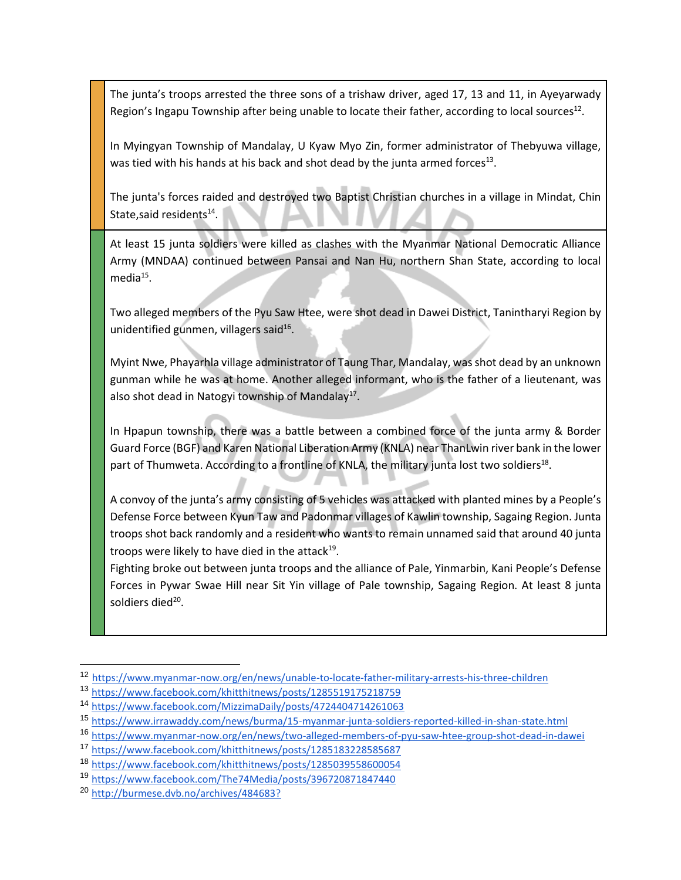The junta's troops arrested the three sons of a trishaw driver, aged 17, 13 and 11, in Ayeyarwady Region's Ingapu Township after being unable to locate their father, according to local sources<sup>12</sup>.

In Myingyan Township of Mandalay, U Kyaw Myo Zin, former administrator of Thebyuwa village, was tied with his hands at his back and shot dead by the junta armed forces<sup>13</sup>.

The junta's forces raided and destroyed two Baptist Christian churches in a village in Mindat, Chin State, said residents<sup>14</sup>.

At least 15 junta soldiers were killed as clashes with the Myanmar National Democratic Alliance Army (MNDAA) continued between Pansai and Nan Hu, northern Shan State, according to local media<sup>15</sup>.

Two alleged members of the Pyu Saw Htee, were shot dead in Dawei District, Tanintharyi Region by unidentified gunmen, villagers said<sup>16</sup>.

Myint Nwe, Phayarhla village administrator of Taung Thar, Mandalay, was shot dead by an unknown gunman while he was at home. Another alleged informant, who is the father of a lieutenant, was also shot dead in Natogyi township of Mandalay<sup>17</sup>.

In Hpapun township, there was a battle between a combined force of the junta army & Border Guard Force (BGF) and Karen National Liberation Army (KNLA) near ThanLwin river bank in the lower part of Thumweta. According to a frontline of KNLA, the military junta lost two soldiers<sup>18</sup>.

A convoy of the junta's army consisting of 5 vehicles was attacked with planted mines by a People's Defense Force between Kyun Taw and Padonmar villages of Kawlin township, Sagaing Region. Junta troops shot back randomly and a resident who wants to remain unnamed said that around 40 junta troops were likely to have died in the attack<sup>19</sup>.

Fighting broke out between junta troops and the alliance of Pale, Yinmarbin, Kani People's Defense Forces in Pywar Swae Hill near Sit Yin village of Pale township, Sagaing Region. At least 8 junta soldiers died<sup>20</sup>.

<sup>12</sup> [https://www.myanmar-now.org/en/news/unable-to-locate-father-military-arrests-his-three-children](https://www.myanmar-now.org/en/news/unable-to-locate-father-military-arrests-his-three-children-in-ayeyarwady-region)

<sup>13</sup> <https://www.facebook.com/khitthitnews/posts/1285519175218759>

<sup>14</sup> <https://www.facebook.com/MizzimaDaily/posts/4724404714261063>

<sup>15</sup> <https://www.irrawaddy.com/news/burma/15-myanmar-junta-soldiers-reported-killed-in-shan-state.html>

<sup>16</sup> <https://www.myanmar-now.org/en/news/two-alleged-members-of-pyu-saw-htee-group-shot-dead-in-dawei>

<sup>17</sup> <https://www.facebook.com/khitthitnews/posts/1285183228585687>

<sup>18</sup> <https://www.facebook.com/khitthitnews/posts/1285039558600054>

<sup>19</sup> <https://www.facebook.com/The74Media/posts/396720871847440>

<sup>20</sup> [http://burmese.dvb.no/archives/484683?](http://burmese.dvb.no/archives/484683?fbclid=IwAR1eBstnluVSH9gR-KoT2IHogErvmDiDIeedGdYbokmbhOBDZFSIbOk16x0)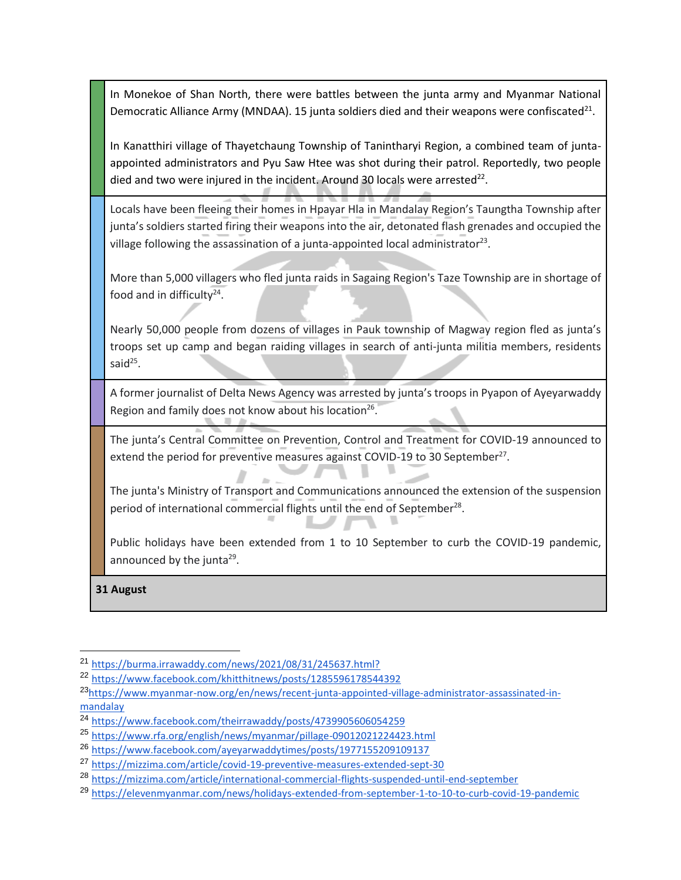In Monekoe of Shan North, there were battles between the junta army and Myanmar National Democratic Alliance Army (MNDAA). 15 junta soldiers died and their weapons were confiscated<sup>21</sup>.

In Kanatthiri village of Thayetchaung Township of Tanintharyi Region, a combined team of juntaappointed administrators and Pyu Saw Htee was shot during their patrol. Reportedly, two people died and two were injured in the incident. Around 30 locals were arrested<sup>22</sup>.

Locals have been fleeing their homes in Hpayar Hla in Mandalay Region's Taungtha Township after junta's soldiers started firing their weapons into the air, detonated flash grenades and occupied the village following the assassination of a junta-appointed local administrator<sup>23</sup>.

More than 5,000 villagers who fled junta raids in Sagaing Region's Taze Township are in shortage of food and in difficulty $24$ .

Nearly 50,000 people from dozens of villages in Pauk township of Magway region fled as junta's troops set up camp and began raiding villages in search of anti-junta militia members, residents said<sup>25</sup>.

A former journalist of Delta News Agency was arrested by junta's troops in Pyapon of Ayeyarwaddy Region and family does not know about his location<sup>26</sup>.

The junta's Central Committee on Prevention, Control and Treatment for COVID-19 announced to extend the period for preventive measures against COVID-19 to 30 September<sup>27</sup>.

The junta's Ministry of Transport and Communications announced the extension of the suspension period of international commercial flights until the end of September<sup>28</sup>.

Public holidays have been extended from 1 to 10 September to curb the COVID-19 pandemic, announced by the junta<sup>29</sup>.

**31 August** 

<sup>21</sup> [https://burma.irrawaddy.com/news/2021/08/31/245637.html?](https://burma.irrawaddy.com/news/2021/08/31/245637.html?fbclid=IwAR0U7qMNFbFQW4S2bhEOM5SOtCxltLIhjbXch40eyYduQBQYeVJny6qCm_I)

<sup>22</sup> <https://www.facebook.com/khitthitnews/posts/1285596178544392>

<sup>23</sup>[https://www.myanmar-now.org/en/news/recent-junta-appointed-village-administrator-assassinated-in](https://www.myanmar-now.org/en/news/recent-junta-appointed-village-administrator-assassinated-in-mandalay-region)[mandalay](https://www.myanmar-now.org/en/news/recent-junta-appointed-village-administrator-assassinated-in-mandalay-region)

<sup>24</sup> <https://www.facebook.com/theirrawaddy/posts/4739905606054259>

<sup>25</sup> <https://www.rfa.org/english/news/myanmar/pillage-09012021224423.html>

<sup>26</sup> <https://www.facebook.com/ayeyarwaddytimes/posts/1977155209109137>

<sup>27</sup> <https://mizzima.com/article/covid-19-preventive-measures-extended-sept-30>

<sup>28</sup> <https://mizzima.com/article/international-commercial-flights-suspended-until-end-september>

<sup>29</sup> <https://elevenmyanmar.com/news/holidays-extended-from-september-1-to-10-to-curb-covid-19-pandemic>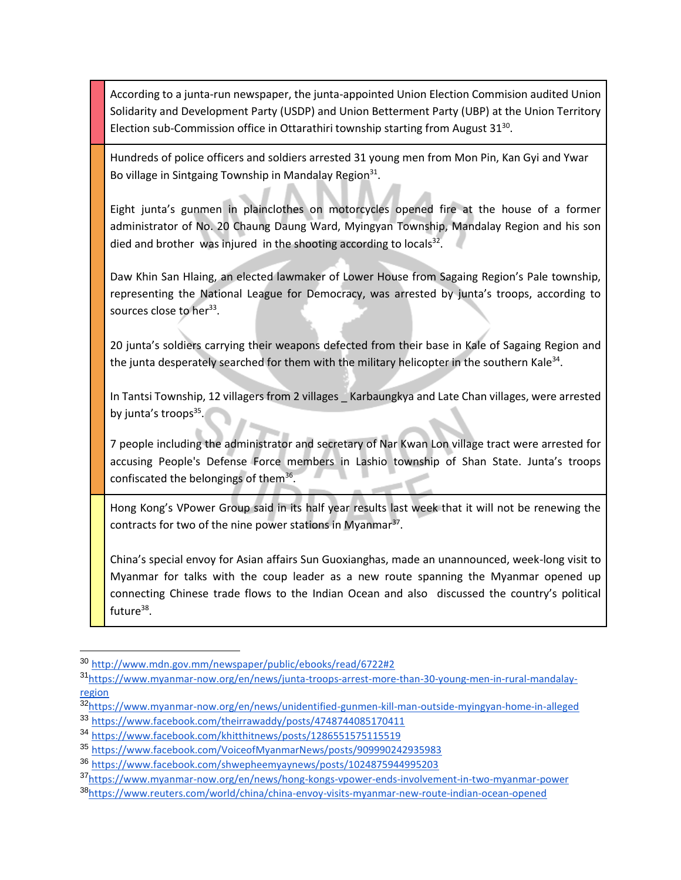According to a junta-run newspaper, the junta-appointed Union Election Commision audited Union Solidarity and Development Party (USDP) and Union Betterment Party (UBP) at the Union Territory Election sub-Commission office in Ottarathiri township starting from August  $31^{30}$ .

Hundreds of police officers and soldiers arrested 31 young men from Mon Pin, Kan Gyi and Ywar Bo village in Sintgaing Township in Mandalay Region<sup>31</sup>.

Eight junta's gunmen in plainclothes on motorcycles opened fire at the house of a former administrator of No. 20 Chaung Daung Ward, Myingyan Township, Mandalay Region and his son died and brother was injured in the shooting according to locals $^{32}$ .

Daw Khin San Hlaing, an elected lawmaker of Lower House from Sagaing Region's Pale township, representing the National League for Democracy, was arrested by junta's troops, according to sources close to her<sup>33</sup>.

20 junta's soldiers carrying their weapons defected from their base in Kale of Sagaing Region and the junta desperately searched for them with the military helicopter in the southern Kale<sup>34</sup>.

In Tantsi Township, 12 villagers from 2 villages \_ Karbaungkya and Late Chan villages, were arrested by junta's troops<sup>35</sup>.

7 people including the administrator and secretary of Nar Kwan Lon village tract were arrested for accusing People's Defense Force members in Lashio township of Shan State. Junta's troops confiscated the belongings of them<sup>36</sup>.

Hong Kong's VPower Group said in its half year results last week that it will not be renewing the contracts for two of the nine power stations in Myanmar<sup>37</sup>.

China's special envoy for Asian affairs Sun Guoxianghas, made an unannounced, week-long visit to Myanmar for talks with the coup leader as a new route spanning the Myanmar opened up connecting Chinese trade flows to the Indian Ocean and also discussed the country's political future<sup>38</sup>.

<sup>30</sup> <http://www.mdn.gov.mm/newspaper/public/ebooks/read/6722#2>

<sup>31</sup>[https://www.myanmar-now.org/en/news/junta-troops-arrest-more-than-30-young-men-in-rural-mandalay](https://www.myanmar-now.org/en/news/junta-troops-arrest-more-than-30-young-men-in-rural-mandalay-region)[region](https://www.myanmar-now.org/en/news/junta-troops-arrest-more-than-30-young-men-in-rural-mandalay-region)

<sup>32</sup>[https://www.myanmar-now.org/en/news/unidentified-gunmen-kill-man-outside-myingyan-home-in-alleged](https://www.myanmar-now.org/en/news/unidentified-gunmen-kill-man-outside-myingyan-home-in-alleged-hit-intended-for-his-father)

<sup>33</sup> <https://www.facebook.com/theirrawaddy/posts/4748744085170411>

<sup>34</sup> <https://www.facebook.com/khitthitnews/posts/1286551575115519>

<sup>35</sup> <https://www.facebook.com/VoiceofMyanmarNews/posts/909990242935983>

<sup>36</sup> <https://www.facebook.com/shwepheemyaynews/posts/1024875944995203>

<sup>37</sup>[https://www.myanmar-now.org/en/news/hong-kongs-vpower-ends-involvement-in-two-myanmar-power](https://www.myanmar-now.org/en/news/hong-kongs-vpower-ends-involvement-in-two-myanmar-power-projects)

<sup>38</sup>[https://www.reuters.com/world/china/china-envoy-visits-myanmar-new-route-indian-ocean-opened](https://www.reuters.com/world/china/china-envoy-visits-myanmar-new-route-indian-ocean-opened-2021-09-01/)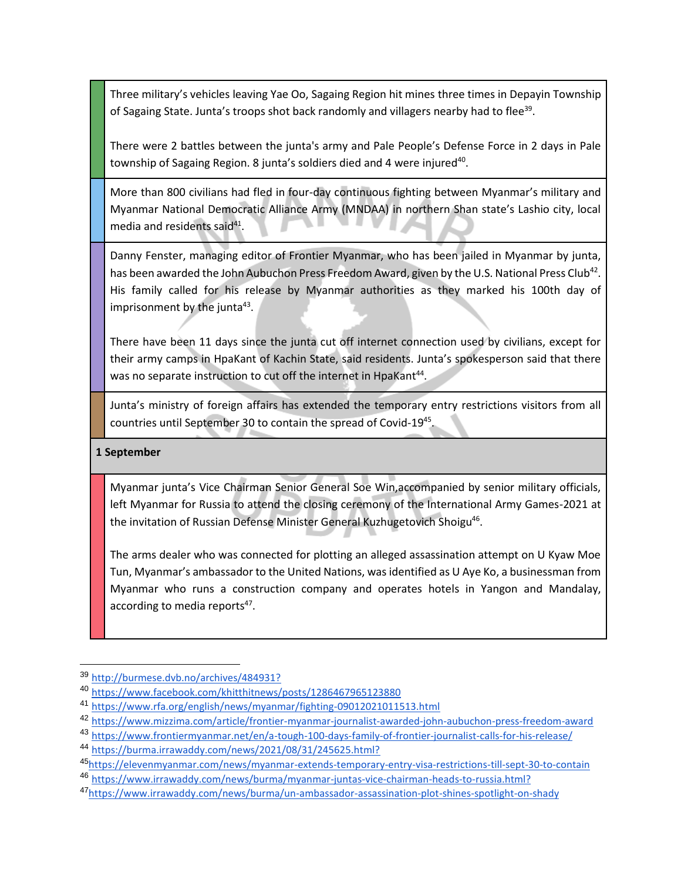Three military's vehicles leaving Yae Oo, Sagaing Region hit mines three times in Depayin Township of Sagaing State. Junta's troops shot back randomly and villagers nearby had to flee<sup>39</sup>.

There were 2 battles between the junta's army and Pale People's Defense Force in 2 days in Pale township of Sagaing Region. 8 junta's soldiers died and 4 were injured<sup>40</sup>.

More than 800 civilians had fled in four-day continuous fighting between Myanmar's military and Myanmar National Democratic Alliance Army (MNDAA) in northern Shan state's Lashio city, local media and residents said<sup>41</sup>.

Danny Fenster, managing editor of Frontier Myanmar, who has been jailed in Myanmar by junta, has been awarded the John Aubuchon Press Freedom Award, given by the U.S. National Press Club<sup>42</sup>. His family called for his release by Myanmar authorities as they marked his 100th day of imprisonment by the junta<sup>43</sup>.

There have been 11 days since the junta cut off internet connection used by civilians, except for their army camps in HpaKant of Kachin State, said residents. Junta's spokesperson said that there was no separate instruction to cut off the internet in HpaKant<sup>44</sup>.

Junta's ministry of foreign affairs has extended the temporary entry restrictions visitors from all countries until September 30 to contain the spread of Covid-19<sup>45</sup>.

#### **1 September**

 $\overline{a}$ 

Myanmar junta's Vice Chairman Senior General Soe Win,accompanied by senior military officials, left Myanmar for Russia to attend the closing ceremony of the International Army Games-2021 at the invitation of Russian Defense Minister General Kuzhugetovich Shoigu<sup>46</sup>.

The arms dealer who was connected for plotting an alleged assassination attempt on U Kyaw Moe Tun, Myanmar's ambassador to the United Nations, was identified as U Aye Ko, a businessman from Myanmar who runs a construction company and operates hotels in Yangon and Mandalay, according to media reports<sup>47</sup>.

<sup>39</sup> [http://burmese.dvb.no/archives/484931?](http://burmese.dvb.no/archives/484931?fbclid=IwAR3RplDhDqzM3RJD7VT2wCOTnYfpAIVInTAXvrNXpkqyPm3GKxbWJ6AQMWE)

<sup>40</sup> <https://www.facebook.com/khitthitnews/posts/1286467965123880>

<sup>41</sup> <https://www.rfa.org/english/news/myanmar/fighting-09012021011513.html>

<sup>42</sup> <https://www.mizzima.com/article/frontier-myanmar-journalist-awarded-john-aubuchon-press-freedom-award>

<sup>43</sup> <https://www.frontiermyanmar.net/en/a-tough-100-days-family-of-frontier-journalist-calls-for-his-release/>

<sup>44</sup> [https://burma.irrawaddy.com/news/2021/08/31/245625.html?](https://burma.irrawaddy.com/news/2021/08/31/245625.html?fbclid=IwAR2INXzZD6A-uRre9YkwomeflTihYC3aPugcPG-LzMIi7DcIpIF79FB0DbY)

<sup>45</sup>[https://elevenmyanmar.com/news/myanmar-extends-temporary-entry-visa-restrictions-till-sept-30-to-contain](https://elevenmyanmar.com/news/myanmar-extends-temporary-entry-visa-restrictions-till-sept-30-to-contain-covid-19-spread) <sup>46</sup> [https://www.irrawaddy.com/news/burma/myanmar-juntas-vice-chairman-heads-to-russia.html?](https://www.irrawaddy.com/news/burma/myanmar-juntas-vice-chairman-heads-to-russia.html?fbclid=IwAR0MlhYHZAjbVhImLuOYUKAwrZ8rNd1g4aQuDiZgkk-DTs_B2sJ4bhoj8JU)

<sup>47</sup>[https://www.irrawaddy.com/news/burma/un-ambassador-assassination-plot-shines-spotlight-on-shady](https://www.irrawaddy.com/news/burma/un-ambassador-assassination-plot-shines-spotlight-on-shady-myanmar-businessman.html)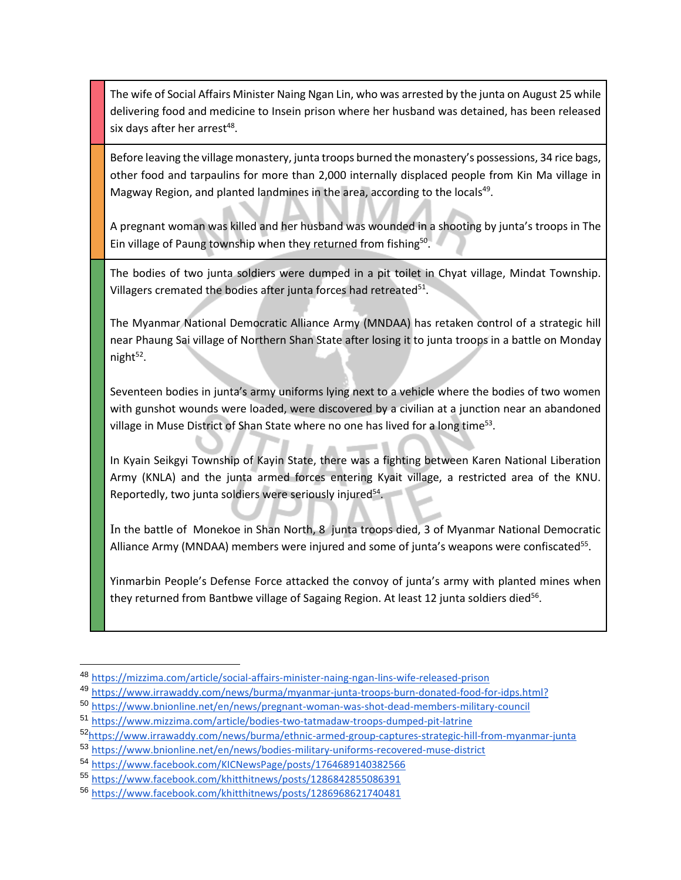The wife of Social Affairs Minister Naing Ngan Lin, who was arrested by the junta on August 25 while delivering food and medicine to Insein prison where her husband was detained, has been released six days after her arrest<sup>48</sup>.

Before leaving the village monastery, junta troops burned the monastery's possessions, 34 rice bags, other food and tarpaulins for more than 2,000 internally displaced people from Kin Ma village in Magway Region, and planted landmines in the area, according to the locals<sup>49</sup>.

A pregnant woman was killed and her husband was wounded in a shooting by junta's troops in The Ein village of Paung township when they returned from fishing<sup>50</sup>.

The bodies of two junta soldiers were dumped in a pit toilet in Chyat village, Mindat Township. Villagers cremated the bodies after junta forces had retreated $^{51}$ .

The Myanmar National Democratic Alliance Army (MNDAA) has retaken control of a strategic hill near Phaung Sai village of Northern Shan State after losing it to junta troops in a battle on Monday night<sup>52</sup>.

Seventeen bodies in junta's army uniforms lying next to a vehicle where the bodies of two women with gunshot wounds were loaded, were discovered by a civilian at a junction near an abandoned village in Muse District of Shan State where no one has lived for a long time<sup>53</sup>.

In Kyain Seikgyi Township of Kayin State, there was a fighting between Karen National Liberation Army (KNLA) and the junta armed forces entering Kyait village, a restricted area of the KNU. Reportedly, two junta soldiers were seriously injured<sup>54</sup>.

In the battle of Monekoe in Shan North, 8 junta troops died, 3 of Myanmar National Democratic Alliance Army (MNDAA) members were injured and some of junta's weapons were confiscated<sup>55</sup>.

Yinmarbin People's Defense Force attacked the convoy of junta's army with planted mines when they returned from Bantbwe village of Sagaing Region. At least 12 junta soldiers died<sup>56</sup>.

<sup>50</sup> <https://www.bnionline.net/en/news/pregnant-woman-was-shot-dead-members-military-council>

<sup>48</sup> <https://mizzima.com/article/social-affairs-minister-naing-ngan-lins-wife-released-prison>

<sup>49</sup> [https://www.irrawaddy.com/news/burma/myanmar-junta-troops-burn-donated-food-for-idps.html?](https://www.irrawaddy.com/news/burma/myanmar-junta-troops-burn-donated-food-for-idps.html?fbclid=IwAR3wuTOkdh4201BsQTEAFv_0AyzSXuG4vUiO6_44MvPjGRmajK0xKoii5cM)

<sup>51</sup> <https://www.mizzima.com/article/bodies-two-tatmadaw-troops-dumped-pit-latrine>

<sup>52</sup>[https://www.irrawaddy.com/news/burma/ethnic-armed-group-captures-strategic-hill-from-myanmar-junta](https://www.irrawaddy.com/news/burma/ethnic-armed-group-captures-strategic-hill-from-myanmar-junta-forces.html)

<sup>53</sup> <https://www.bnionline.net/en/news/bodies-military-uniforms-recovered-muse-district>

<sup>54</sup> <https://www.facebook.com/KICNewsPage/posts/1764689140382566>

<sup>55</sup> <https://www.facebook.com/khitthitnews/posts/1286842855086391>

<sup>56</sup> <https://www.facebook.com/khitthitnews/posts/1286968621740481>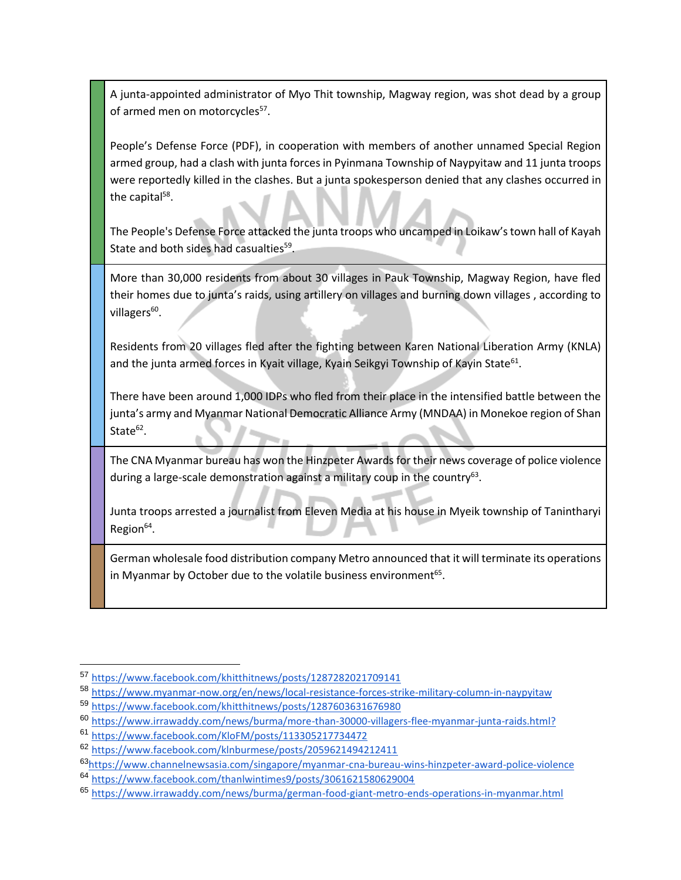A junta-appointed administrator of Myo Thit township, Magway region, was shot dead by a group of armed men on motorcycles<sup>57</sup>.

People's Defense Force (PDF), in cooperation with members of another unnamed Special Region armed group, had a clash with junta forces in Pyinmana Township of Naypyitaw and 11 junta troops were reportedly killed in the clashes. But a junta spokesperson denied that any clashes occurred in the capital<sup>58</sup>.

The People's Defense Force attacked the junta troops who uncamped in Loikaw's town hall of Kayah State and both sides had casualties<sup>59</sup>.

More than 30,000 residents from about 30 villages in Pauk Township, Magway Region, have fled their homes due to junta's raids, using artillery on villages and burning down villages , according to villagers<sup>60</sup>.

Residents from 20 villages fled after the fighting between Karen National Liberation Army (KNLA) and the junta armed forces in Kyait village, Kyain Seikgyi Township of Kayin State<sup>61</sup>.

There have been around 1,000 IDPs who fled from their place in the intensified battle between the junta's army and Myanmar National Democratic Alliance Army (MNDAA) in Monekoe region of Shan State $^{62}$ .

The CNA Myanmar bureau has won the Hinzpeter Awards for their news coverage of police violence during a large-scale demonstration against a military coup in the country<sup>63</sup>.

Junta troops arrested a journalist from Eleven Media at his house in Myeik township of Tanintharyi Region<sup>64</sup>.

German wholesale food distribution company Metro announced that it will terminate its operations in Myanmar by October due to the volatile business environment<sup>65</sup>.

<sup>57</sup> <https://www.facebook.com/khitthitnews/posts/1287282021709141>

<sup>58</sup> <https://www.myanmar-now.org/en/news/local-resistance-forces-strike-military-column-in-naypyitaw>

<sup>59</sup> <https://www.facebook.com/khitthitnews/posts/1287603631676980>

<sup>60</sup> [https://www.irrawaddy.com/news/burma/more-than-30000-villagers-flee-myanmar-junta-raids.html?](https://www.irrawaddy.com/news/burma/more-than-30000-villagers-flee-myanmar-junta-raids.html?fbclid=IwAR034BMpfg4d3N8Q6FWvLUkyPYnVJ9WcjbkP2PuqffpfTepNMkzF-KCoGbE)

<sup>61</sup> <https://www.facebook.com/KloFM/posts/113305217734472>

<sup>62</sup> <https://www.facebook.com/klnburmese/posts/2059621494212411>

<sup>63</sup>[https://www.channelnewsasia.com/singapore/myanmar-cna-bureau-wins-hinzpeter-award-police-violence](https://www.channelnewsasia.com/singapore/myanmar-cna-bureau-wins-hinzpeter-award-police-violence-military-coup-2149251)

<sup>64</sup> <https://www.facebook.com/thanlwintimes9/posts/3061621580629004>

<sup>65</sup> <https://www.irrawaddy.com/news/burma/german-food-giant-metro-ends-operations-in-myanmar.html>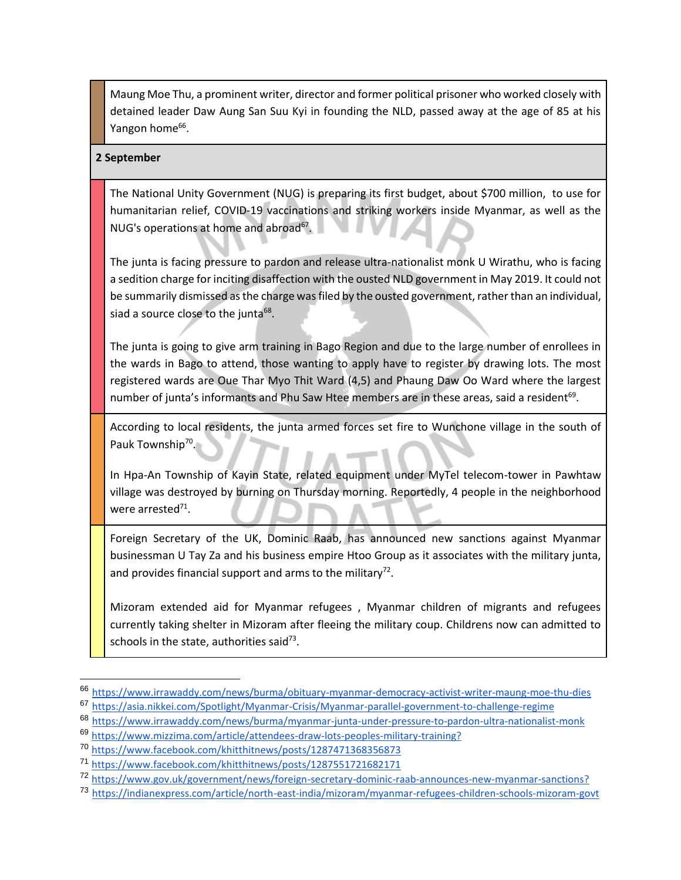Maung Moe Thu, a prominent writer, director and former political prisoner who worked closely with detained leader Daw Aung San Suu Kyi in founding the NLD, passed away at the age of 85 at his Yangon home<sup>66</sup>.

#### **2 September**

The National Unity Government (NUG) is preparing its first budget, about \$700 million, to use for humanitarian relief, COVID-19 vaccinations and striking workers inside Myanmar, as well as the NUG's operations at home and abroad<sup>67</sup>.

The junta is facing pressure to pardon and release ultra-nationalist monk U Wirathu, who is facing a sedition charge for inciting disaffection with the ousted NLD government in May 2019. It could not be summarily dismissed as the charge was filed by the ousted government, rather than an individual, siad a source close to the junta<sup>68</sup>.

The junta is going to give arm training in Bago Region and due to the large number of enrollees in the wards in Bago to attend, those wanting to apply have to register by drawing lots. The most registered wards are Oue Thar Myo Thit Ward (4,5) and Phaung Daw Oo Ward where the largest number of junta's informants and Phu Saw Htee members are in these areas, said a resident<sup>69</sup>.

According to local residents, the junta armed forces set fire to Wunchone village in the south of Pauk Township<sup>70</sup>.

In Hpa-An Township of Kayin State, related equipment under MyTel telecom-tower in Pawhtaw village was destroyed by burning on Thursday morning. Reportedly, 4 people in the neighborhood were arrested<sup>71</sup>.

Foreign Secretary of the UK, Dominic Raab, has announced new sanctions against Myanmar businessman U Tay Za and his business empire Htoo Group as it associates with the military junta, and provides financial support and arms to the military<sup>72</sup>.

Mizoram extended aid for Myanmar refugees , Myanmar children of migrants and refugees currently taking shelter in Mizoram after fleeing the military coup. Childrens now can admitted to schools in the state, authorities said<sup>73</sup>.

<sup>66</sup> [https://www.irrawaddy.com/news/burma/obituary-myanmar-democracy-activist-writer-maung-moe-thu-dies](https://www.irrawaddy.com/news/burma/obituary-myanmar-democracy-activist-writer-maung-moe-thu-dies.html?fbclid=IwAR0_iDCoFqgW4wsTHG09BSasrvKNJ3d0dW50syNaIdIBQ__Zl_RNsl4DYLk)

<sup>67</sup> [https://asia.nikkei.com/Spotlight/Myanmar-Crisis/Myanmar-parallel-government-to-challenge-regime](https://asia.nikkei.com/Spotlight/Myanmar-Crisis/Myanmar-parallel-government-to-challenge-regime-with-700m-budget)

<sup>68</sup> [https://www.irrawaddy.com/news/burma/myanmar-junta-under-pressure-to-pardon-ultra-nationalist-monk](https://www.irrawaddy.com/news/burma/myanmar-junta-under-pressure-to-pardon-ultra-nationalist-monk-u-wirathu.html)

<sup>69</sup> [https://www.mizzima.com/article/attendees-draw-lots-peoples-military-training?](https://www.mizzima.com/article/attendees-draw-lots-peoples-military-training?fbclid=IwAR2y3X6HMWFg1ZfQEctci8uMO0M4xKb_Yz4ROWtq-XkUadf6ZTaxlIVef6s)

<sup>70</sup> <https://www.facebook.com/khitthitnews/posts/1287471368356873>

<sup>71</sup> <https://www.facebook.com/khitthitnews/posts/1287551721682171>

<sup>72</sup> [https://www.gov.uk/government/news/foreign-secretary-dominic-raab-announces-new-myanmar-sanctions?](https://www.gov.uk/government/news/foreign-secretary-dominic-raab-announces-new-myanmar-sanctions?fbclid=IwAR1iqmjmLH1lm3kTMJ1A1W7zTmqbu8V43-T5NTkEU3YiTkyTd2nKj4HvdzE)

<sup>73</sup> [https://indianexpress.com/article/north-east-india/mizoram/myanmar-refugees-children-schools-mizoram-govt](https://indianexpress.com/article/north-east-india/mizoram/myanmar-refugees-children-schools-mizoram-govt-7484743/)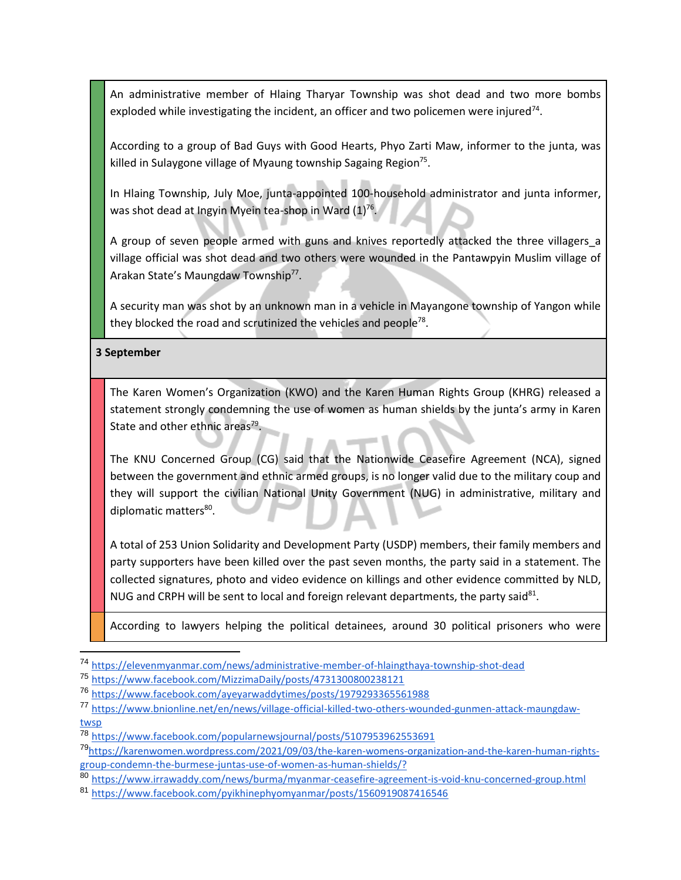An administrative member of Hlaing Tharyar Township was shot dead and two more bombs exploded while investigating the incident, an officer and two policemen were injured<sup>74</sup>.

According to a group of Bad Guys with Good Hearts, Phyo Zarti Maw, informer to the junta, was killed in Sulaygone village of Myaung township Sagaing Region<sup>75</sup>.

In Hlaing Township, July Moe, junta-appointed 100-household administrator and junta informer, was shot dead at Ingyin Myein tea-shop in Ward  $(1)^{76}$ .

A group of seven people armed with guns and knives reportedly attacked the three villagers a village official was shot dead and two others were wounded in the Pantawpyin Muslim village of Arakan State's Maungdaw Township<sup>77</sup>.

A security man was shot by an unknown man in a vehicle in Mayangone township of Yangon while they blocked the road and scrutinized the vehicles and people<sup>78</sup>.

#### **3 September**

The Karen Women's Organization (KWO) and the Karen Human Rights Group (KHRG) released a statement strongly condemning the use of women as human shields by the junta's army in Karen State and other ethnic areas<sup>79</sup>.

The KNU Concerned Group (CG) said that the Nationwide Ceasefire Agreement (NCA), signed between the government and ethnic armed groups, is no longer valid due to the military coup and they will support the civilian National Unity Government (NUG) in administrative, military and diplomatic matters<sup>80</sup>.

A total of 253 Union Solidarity and Development Party (USDP) members, their family members and party supporters have been killed over the past seven months, the party said in a statement. The collected signatures, photo and video evidence on killings and other evidence committed by NLD, NUG and CRPH will be sent to local and foreign relevant departments, the party said $^{81}$ .

According to lawyers helping the political detainees, around 30 political prisoners who were

<sup>74</sup> <https://elevenmyanmar.com/news/administrative-member-of-hlaingthaya-township-shot-dead>

<sup>75</sup> <https://www.facebook.com/MizzimaDaily/posts/4731300800238121>

<sup>76</sup> <https://www.facebook.com/ayeyarwaddytimes/posts/1979293365561988>

<sup>77</sup> [https://www.bnionline.net/en/news/village-official-killed-two-others-wounded-gunmen-attack-maungdaw](https://www.bnionline.net/en/news/village-official-killed-two-others-wounded-gunmen-attack-maungdaw-twsp)[twsp](https://www.bnionline.net/en/news/village-official-killed-two-others-wounded-gunmen-attack-maungdaw-twsp)

<sup>78</sup> <https://www.facebook.com/popularnewsjournal/posts/5107953962553691>

<sup>79</sup>[https://karenwomen.wordpress.com/2021/09/03/the-karen-womens-organization-and-the-karen-human-rights](https://karenwomen.wordpress.com/2021/09/03/the-karen-womens-organization-and-the-karen-human-rights-group-condemn-the-burmese-juntas-use-of-women-as-human-shields/?fbclid=IwAR0F5Y8zx8D9DfgbhXY__Ez19dw0fWFIgYanOYm5fRvIPRPY-kuloM2Guwk)[group-condemn-the-burmese-juntas-use-of-women-as-human-shields/?](https://karenwomen.wordpress.com/2021/09/03/the-karen-womens-organization-and-the-karen-human-rights-group-condemn-the-burmese-juntas-use-of-women-as-human-shields/?fbclid=IwAR0F5Y8zx8D9DfgbhXY__Ez19dw0fWFIgYanOYm5fRvIPRPY-kuloM2Guwk)

<sup>80</sup> <https://www.irrawaddy.com/news/burma/myanmar-ceasefire-agreement-is-void-knu-concerned-group.html>

<sup>81</sup> <https://www.facebook.com/pyikhinephyomyanmar/posts/1560919087416546>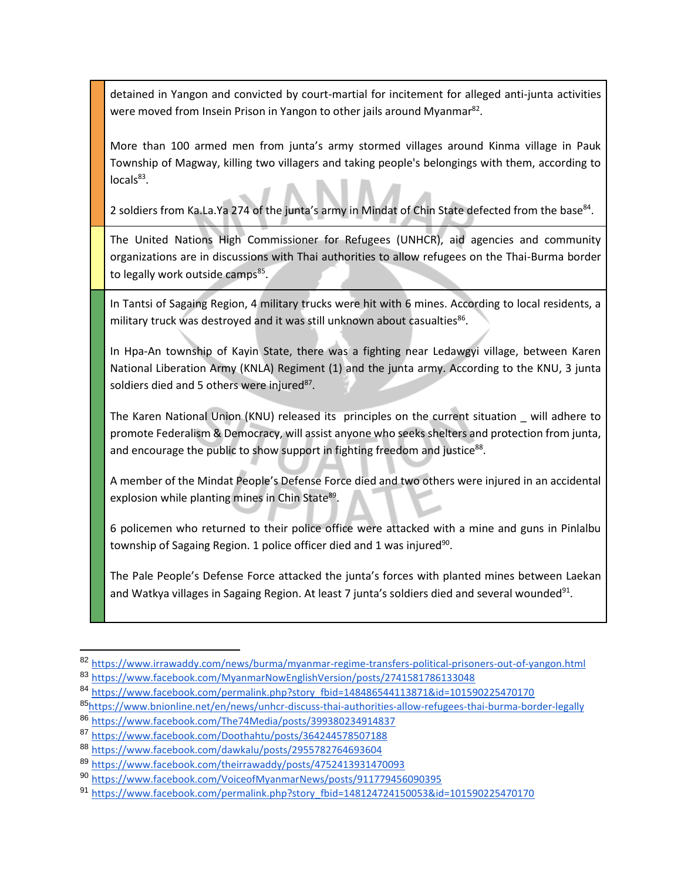detained in Yangon and convicted by court-martial for incitement for alleged anti-junta activities were moved from Insein Prison in Yangon to other jails around Myanmar<sup>82</sup>.

More than 100 armed men from junta's army stormed villages around Kinma village in Pauk Township of Magway, killing two villagers and taking people's belongings with them, according to locals<sup>83</sup>.

2 soldiers from Ka.La.Ya 274 of the junta's army in Mindat of Chin State defected from the base<sup>84</sup>.

The United Nations High Commissioner for Refugees (UNHCR), aid agencies and community organizations are in discussions with Thai authorities to allow refugees on the Thai-Burma border to legally work outside camps<sup>85</sup>.

In Tantsi of Sagaing Region, 4 military trucks were hit with 6 mines. According to local residents, a military truck was destroyed and it was still unknown about casualties<sup>86</sup>.

In Hpa-An township of Kayin State, there was a fighting near Ledawgyi village, between Karen National Liberation Army (KNLA) Regiment (1) and the junta army. According to the KNU, 3 junta soldiers died and 5 others were injured<sup>87</sup>.

The Karen National Union (KNU) released its principles on the current situation \_ will adhere to promote Federalism & Democracy, will assist anyone who seeks shelters and protection from junta, and encourage the public to show support in fighting freedom and justice<sup>88</sup>.

A member of the Mindat People's Defense Force died and two others were injured in an accidental explosion while planting mines in Chin State<sup>89</sup>.

6 policemen who returned to their police office were attacked with a mine and guns in Pinlalbu township of Sagaing Region. 1 police officer died and 1 was injured $^{90}$ .

The Pale People's Defense Force attacked the junta's forces with planted mines between Laekan and Watkya villages in Sagaing Region. At least 7 junta's soldiers died and several wounded<sup>91</sup>.

<sup>82</sup> <https://www.irrawaddy.com/news/burma/myanmar-regime-transfers-political-prisoners-out-of-yangon.html>

<sup>83</sup> <https://www.facebook.com/MyanmarNowEnglishVersion/posts/2741581786133048>

<sup>84</sup> [https://www.facebook.com/permalink.php?story\\_fbid=148486544113871&id=101590225470170](https://www.facebook.com/permalink.php?story_fbid=148486544113871&id=101590225470170)

<sup>85</sup>[https://www.bnionline.net/en/news/unhcr-discuss-thai-authorities-allow-refugees-thai-burma-border-legally](https://www.bnionline.net/en/news/unhcr-discuss-thai-authorities-allow-refugees-thai-burma-border-legally-work-outside-camps)

<sup>86</sup> <https://www.facebook.com/The74Media/posts/399380234914837>

<sup>87</sup> <https://www.facebook.com/Doothahtu/posts/364244578507188>

<sup>88</sup> <https://www.facebook.com/dawkalu/posts/2955782764693604>

<sup>89</sup> <https://www.facebook.com/theirrawaddy/posts/4752413931470093>

<sup>90</sup> <https://www.facebook.com/VoiceofMyanmarNews/posts/911779456090395>

<sup>91</sup> [https://www.facebook.com/permalink.php?story\\_fbid=148124724150053&id=101590225470170](https://www.facebook.com/permalink.php?story_fbid=148124724150053&id=101590225470170)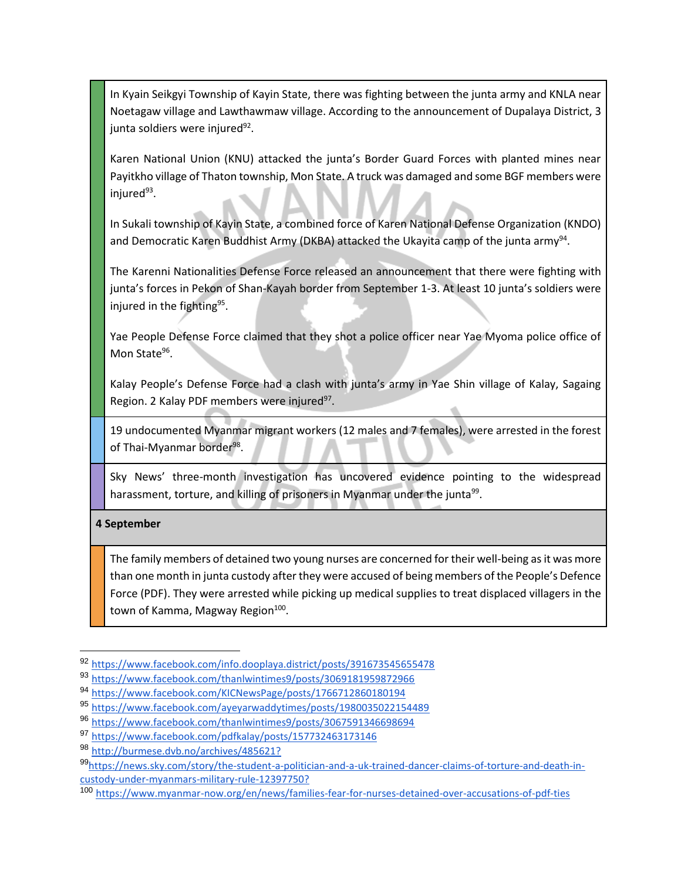In Kyain Seikgyi Township of Kayin State, there was fighting between the junta army and KNLA near Noetagaw village and Lawthawmaw village. According to the announcement of Dupalaya District, 3 junta soldiers were injured<sup>92</sup>.

Karen National Union (KNU) attacked the junta's Border Guard Forces with planted mines near Payitkho village of Thaton township, Mon State. A truck was damaged and some BGF members were injured 93 .

In Sukali township of Kayin State, a combined force of Karen National Defense Organization (KNDO) and Democratic Karen Buddhist Army (DKBA) attacked the Ukayita camp of the junta army $^{94}$ .

The Karenni Nationalities Defense Force released an announcement that there were fighting with junta's forces in Pekon of Shan-Kayah border from September 1-3. At least 10 junta's soldiers were injured in the fighting<sup>95</sup>.

Yae People Defense Force claimed that they shot a police officer near Yae Myoma police office of Mon State<sup>96</sup>.

Kalay People's Defense Force had a clash with junta's army in Yae Shin village of Kalay, Sagaing Region. 2 Kalay PDF members were injured<sup>97</sup>.

19 undocumented Myanmar migrant workers (12 males and 7 females), were arrested in the forest of Thai-Myanmar border<sup>98</sup>.

Sky News' three-month investigation has uncovered evidence pointing to the widespread harassment, torture, and killing of prisoners in Myanmar under the junta<sup>99</sup>.

## **4 September**

The family members of detained two young nurses are concerned for their well-being as it was more than one month in junta custody after they were accused of being members of the People's Defence Force (PDF). They were arrested while picking up medical supplies to treat displaced villagers in the town of Kamma, Magway Region<sup>100</sup>.

<sup>92</sup> <https://www.facebook.com/info.dooplaya.district/posts/391673545655478>

<sup>93</sup> <https://www.facebook.com/thanlwintimes9/posts/3069181959872966>

<sup>94</sup> <https://www.facebook.com/KICNewsPage/posts/1766712860180194>

<sup>95</sup> <https://www.facebook.com/ayeyarwaddytimes/posts/1980035022154489>

<sup>96</sup> <https://www.facebook.com/thanlwintimes9/posts/3067591346698694>

<sup>97</sup> <https://www.facebook.com/pdfkalay/posts/157732463173146>

<sup>98</sup> [http://burmese.dvb.no/archives/485621?](http://burmese.dvb.no/archives/485621?fbclid=IwAR1epRkeY53llgcqCpz8wAIWPDJn6tmdgt-MZiqmc1K1B8EZoJipLnc3BwI)

<sup>99</sup>[https://news.sky.com/story/the-student-a-politician-and-a-uk-trained-dancer-claims-of-torture-and-death-in](https://news.sky.com/story/the-student-a-politician-and-a-uk-trained-dancer-claims-of-torture-and-death-in-custody-under-myanmars-military-rule-12397750?fbclid=IwAR0UsGkusZzztcBphFFTXSbtxNNbPw_PV_8UrZuHfEelF6iB0FaiXVnBO04)[custody-under-myanmars-military-rule-12397750?](https://news.sky.com/story/the-student-a-politician-and-a-uk-trained-dancer-claims-of-torture-and-death-in-custody-under-myanmars-military-rule-12397750?fbclid=IwAR0UsGkusZzztcBphFFTXSbtxNNbPw_PV_8UrZuHfEelF6iB0FaiXVnBO04)

<sup>100</sup> <https://www.myanmar-now.org/en/news/families-fear-for-nurses-detained-over-accusations-of-pdf-ties>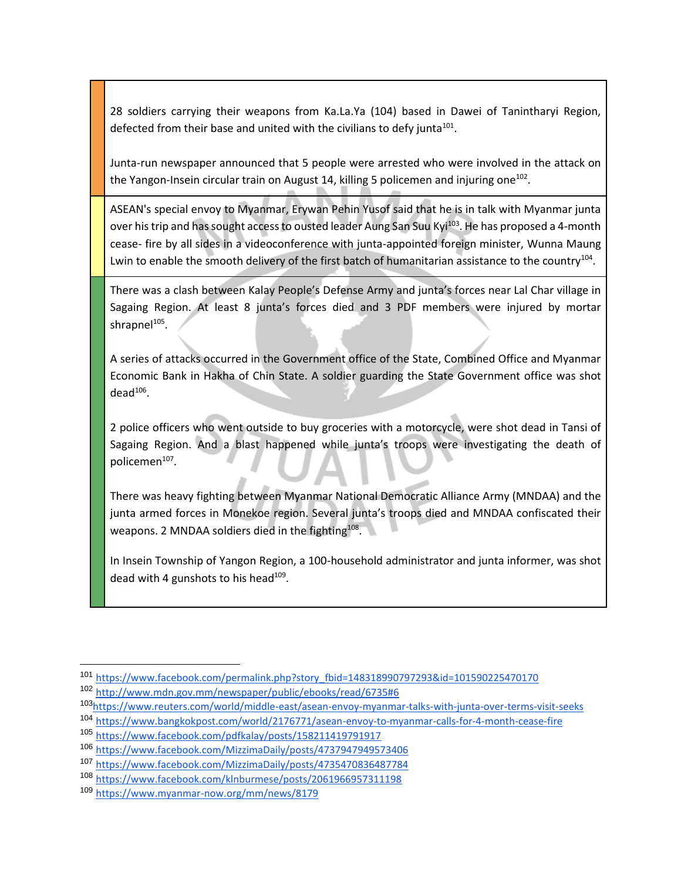28 soldiers carrying their weapons from Ka.La.Ya (104) based in Dawei of Tanintharyi Region, defected from their base and united with the civilians to defy junta $^{101}$ .

Junta-run newspaper announced that 5 people were arrested who were involved in the attack on the Yangon-Insein circular train on August 14, killing 5 policemen and injuring one<sup>102</sup>.

ASEAN's special envoy to Myanmar, Erywan Pehin Yusof said that he is in talk with Myanmar junta over his trip and has sought access to ousted leader Aung San Suu Kyi<sup>103</sup>. He has proposed a 4-month cease- fire by all sides in a videoconference with junta-appointed foreign minister, Wunna Maung Lwin to enable the smooth delivery of the first batch of humanitarian assistance to the country<sup>104</sup>.

There was a clash between Kalay People's Defense Army and junta's forces near Lal Char village in Sagaing Region. At least 8 junta's forces died and 3 PDF members were injured by mortar shrapnel<sup>105</sup>.

A series of attacks occurred in the Government office of the State, Combined Office and Myanmar Economic Bank in Hakha of Chin State. A soldier guarding the State Government office was shot  $dead^{106}$ .

2 police officers who went outside to buy groceries with a motorcycle, were shot dead in Tansi of Sagaing Region. And a blast happened while junta's troops were investigating the death of policemen<sup>107</sup>.

There was heavy fighting between Myanmar National Democratic Alliance Army (MNDAA) and the junta armed forces in Monekoe region. Several junta's troops died and MNDAA confiscated their weapons. 2 MNDAA soldiers died in the fighting $^{108}$ .

In Insein Township of Yangon Region, a 100-household administrator and junta informer, was shot dead with 4 gunshots to his head $^{109}$ .

<sup>101</sup> [https://www.facebook.com/permalink.php?story\\_fbid=148318990797293&id=101590225470170](https://www.facebook.com/permalink.php?story_fbid=148318990797293&id=101590225470170)

<sup>102</sup> <http://www.mdn.gov.mm/newspaper/public/ebooks/read/6735#6>

<sup>103</sup>[https://www.reuters.com/world/middle-east/asean-envoy-myanmar-talks-with-junta-over-terms-visit-seeks](https://www.reuters.com/world/middle-east/asean-envoy-myanmar-talks-with-junta-over-terms-visit-seeks-access-suu-kyi-2021-09-04/)

<sup>104</sup> <https://www.bangkokpost.com/world/2176771/asean-envoy-to-myanmar-calls-for-4-month-cease-fire>

<sup>105</sup> <https://www.facebook.com/pdfkalay/posts/158211419791917>

<sup>106</sup> <https://www.facebook.com/MizzimaDaily/posts/4737947949573406>

<sup>107</sup> <https://www.facebook.com/MizzimaDaily/posts/4735470836487784>

<sup>108</sup> <https://www.facebook.com/klnburmese/posts/2061966957311198>

<sup>109</sup> <https://www.myanmar-now.org/mm/news/8179>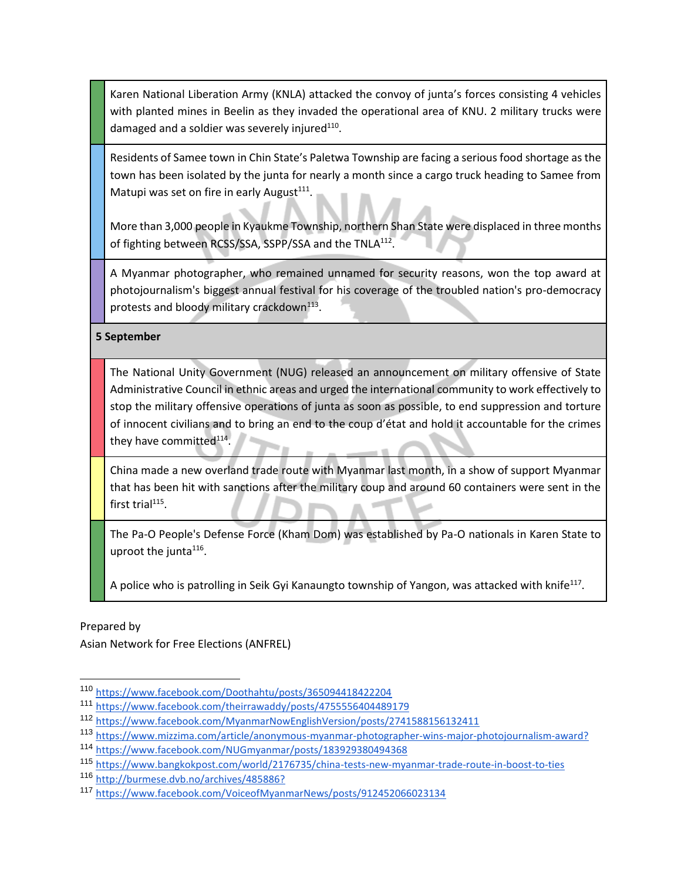Karen National Liberation Army (KNLA) attacked the convoy of junta's forces consisting 4 vehicles with planted mines in Beelin as they invaded the operational area of KNU. 2 military trucks were damaged and a soldier was severely injured $^{110}$ .

Residents of Samee town in Chin State's Paletwa Township are facing a serious food shortage as the town has been isolated by the junta for nearly a month since a cargo truck heading to Samee from Matupi was set on fire in early August $^{111}$ .

More than 3,000 people in Kyaukme Township, northern Shan State were displaced in three months of fighting between RCSS/SSA, SSPP/SSA and the TNLA<sup>112</sup>.

A Myanmar photographer, who remained unnamed for security reasons, won the top award at photojournalism's biggest annual festival for his coverage of the troubled nation's pro-democracy protests and bloody military crackdown<sup>113</sup>.

**5 September** 

The National Unity Government (NUG) released an announcement on military offensive of State Administrative Council in ethnic areas and urged the international community to work effectively to stop the military offensive operations of junta as soon as possible, to end suppression and torture of innocent civilians and to bring an end to the coup d'état and hold it accountable for the crimes they have committed<sup>114</sup>.

China made a new overland trade route with Myanmar last month, in a show of support Myanmar that has been hit with sanctions after the military coup and around 60 containers were sent in the first trial $^{115}$ .

The Pa-O People's Defense Force (Kham Dom) was established by Pa-O nationals in Karen State to uproot the junta<sup>116</sup>.

A police who is patrolling in Seik Gyi Kanaungto township of Yangon, was attacked with knife<sup>117</sup>.

Prepared by

Asian Network for Free Elections (ANFREL)

<sup>110</sup> <https://www.facebook.com/Doothahtu/posts/365094418422204>

<sup>111</sup> <https://www.facebook.com/theirrawaddy/posts/4755556404489179>

<sup>112</sup> <https://www.facebook.com/MyanmarNowEnglishVersion/posts/2741588156132411>

<sup>113</sup> [https://www.mizzima.com/article/anonymous-myanmar-photographer-wins-major-photojournalism-award?](https://www.mizzima.com/article/anonymous-myanmar-photographer-wins-major-photojournalism-award?fbclid=IwAR0C0mRtCP6rTaj7oEAhG0FFtT96XU6uM8hGQONaRwUYlD9Z1QAfmmYZa4Q)

<sup>114</sup> <https://www.facebook.com/NUGmyanmar/posts/183929380494368>

<sup>115</sup> <https://www.bangkokpost.com/world/2176735/china-tests-new-myanmar-trade-route-in-boost-to-ties>

<sup>116</sup> [http://burmese.dvb.no/archives/485886?](http://burmese.dvb.no/archives/485886?fbclid=IwAR07JLwhEvFT96fQrR3pGD8qP8bTvcoxnW2_Acz68fzLwmrQZEa4RQOFFMY)

<sup>117</sup> <https://www.facebook.com/VoiceofMyanmarNews/posts/912452066023134>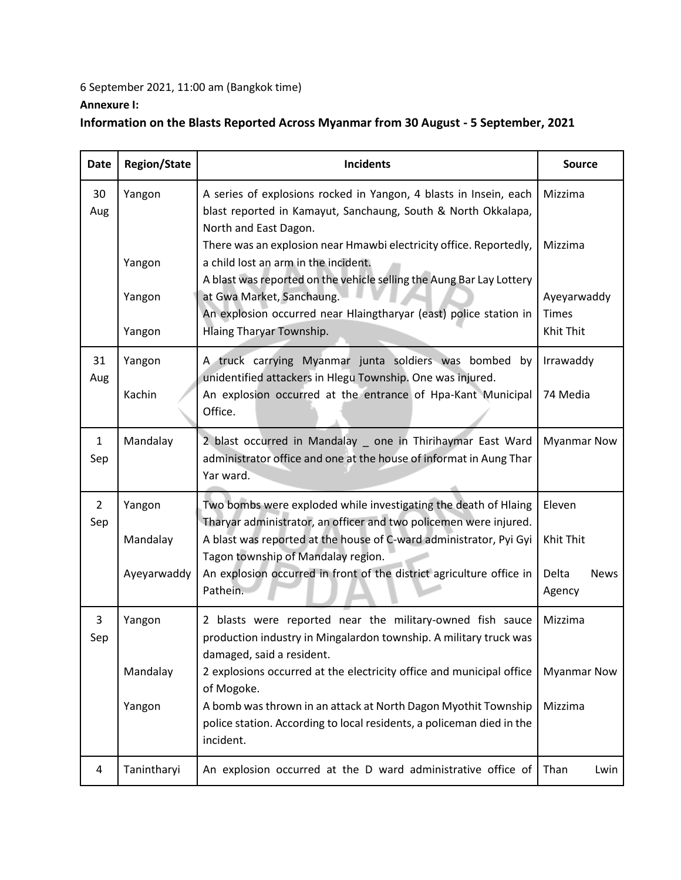## 6 September 2021, 11:00 am (Bangkok time) **Annexure I:**

## **Information on the Blasts Reported Across Myanmar from 30 August - 5 September, 2021**

| <b>Date</b>           | <b>Region/State</b>               | <b>Incidents</b>                                                                                                                                                                                                                                                                                                                                                                                          | <b>Source</b>                                         |
|-----------------------|-----------------------------------|-----------------------------------------------------------------------------------------------------------------------------------------------------------------------------------------------------------------------------------------------------------------------------------------------------------------------------------------------------------------------------------------------------------|-------------------------------------------------------|
| 30<br>Aug             | Yangon<br>Yangon                  | A series of explosions rocked in Yangon, 4 blasts in Insein, each<br>blast reported in Kamayut, Sanchaung, South & North Okkalapa,<br>North and East Dagon.<br>There was an explosion near Hmawbi electricity office. Reportedly,<br>a child lost an arm in the incident.                                                                                                                                 | Mizzima<br>Mizzima                                    |
|                       | Yangon<br>Yangon                  | A blast was reported on the vehicle selling the Aung Bar Lay Lottery<br>at Gwa Market, Sanchaung.<br>An explosion occurred near Hlaingtharyar (east) police station in<br>Hlaing Tharyar Township.                                                                                                                                                                                                        | Ayeyarwaddy<br><b>Times</b><br>Khit Thit              |
| 31<br>Aug             | Yangon<br>Kachin                  | A truck carrying Myanmar junta soldiers was bombed by<br>unidentified attackers in Hlegu Township. One was injured.<br>An explosion occurred at the entrance of Hpa-Kant Municipal<br>Office.                                                                                                                                                                                                             | Irrawaddy<br>74 Media                                 |
| 1<br>Sep              | Mandalay                          | 2 blast occurred in Mandalay _ one in Thirihaymar East Ward<br>administrator office and one at the house of informat in Aung Thar<br>Yar ward.                                                                                                                                                                                                                                                            | <b>Myanmar Now</b>                                    |
| $\overline{2}$<br>Sep | Yangon<br>Mandalay<br>Ayeyarwaddy | Two bombs were exploded while investigating the death of Hlaing<br>Tharyar administrator, an officer and two policemen were injured.<br>A blast was reported at the house of C-ward administrator, Pyi Gyi<br>Tagon township of Mandalay region.<br>An explosion occurred in front of the district agriculture office in<br>Pathein.                                                                      | Eleven<br>Khit Thit<br>Delta<br><b>News</b><br>Agency |
| 3<br>Sep              | Yangon<br>Mandalay<br>Yangon      | 2 blasts were reported near the military-owned fish sauce<br>production industry in Mingalardon township. A military truck was<br>damaged, said a resident.<br>2 explosions occurred at the electricity office and municipal office<br>of Mogoke.<br>A bomb was thrown in an attack at North Dagon Myothit Township<br>police station. According to local residents, a policeman died in the<br>incident. | Mizzima<br><b>Myanmar Now</b><br>Mizzima              |
| 4                     | Tanintharyi                       | An explosion occurred at the D ward administrative office of                                                                                                                                                                                                                                                                                                                                              | Than<br>Lwin                                          |